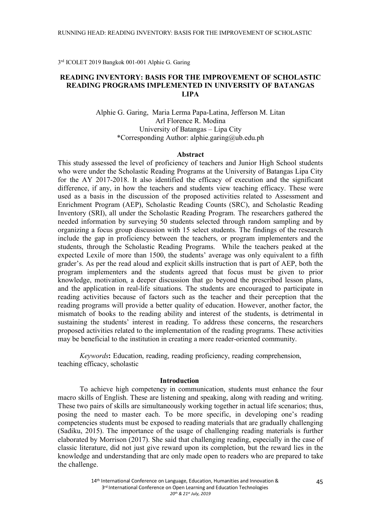3rd ICOLET 2019 Bangkok 001-001 Alphie G. Garing

# **READING INVENTORY: BASIS FOR THE IMPROVEMENT OF SCHOLASTIC READING PROGRAMS IMPLEMENTED IN UNIVERSITY OF BATANGAS LIPA**

Alphie G. Garing, Maria Lerma Papa-Latina, Jefferson M. Litan Arl Florence R. Modina University of Batangas – Lipa City \*Corresponding Author: alphie.garing@ub.edu.ph

### **Abstract**

This study assessed the level of proficiency of teachers and Junior High School students who were under the Scholastic Reading Programs at the University of Batangas Lipa City for the AY 2017-2018. It also identified the efficacy of execution and the significant difference, if any, in how the teachers and students view teaching efficacy. These were used as a basis in the discussion of the proposed activities related to Assessment and Enrichment Program (AEP), Scholastic Reading Counts (SRC), and Scholastic Reading Inventory (SRI), all under the Scholastic Reading Program. The researchers gathered the needed information by surveying 50 students selected through random sampling and by organizing a focus group discussion with 15 select students. The findings of the research include the gap in proficiency between the teachers, or program implementers and the students, through the Scholastic Reading Programs. While the teachers peaked at the expected Lexile of more than 1500, the students' average was only equivalent to a fifth grader's. As per the read aloud and explicit skills instruction that is part of AEP, both the program implementers and the students agreed that focus must be given to prior knowledge, motivation, a deeper discussion that go beyond the prescribed lesson plans, and the application in real-life situations. The students are encouraged to participate in reading activities because of factors such as the teacher and their perception that the reading programs will provide a better quality of education. However, another factor, the mismatch of books to the reading ability and interest of the students, is detrimental in sustaining the students' interest in reading. To address these concerns, the researchers proposed activities related to the implementation of the reading programs. These activities may be beneficial to the institution in creating a more reader-oriented community.

*Keywords***:** Education, reading, reading proficiency, reading comprehension, teaching efficacy, scholastic

### **Introduction**

To achieve high competency in communication, students must enhance the four macro skills of English. These are listening and speaking, along with reading and writing. These two pairs of skills are simultaneously working together in actual life scenarios; thus, posing the need to master each. To be more specific, in developing one's reading competencies students must be exposed to reading materials that are gradually challenging (Sadiku, 2015). The importance of the usage of challenging reading materials is further elaborated by Morrison (2017). She said that challenging reading, especially in the case of classic literature, did not just give reward upon its completion, but the reward lies in the knowledge and understanding that are only made open to readers who are prepared to take the challenge.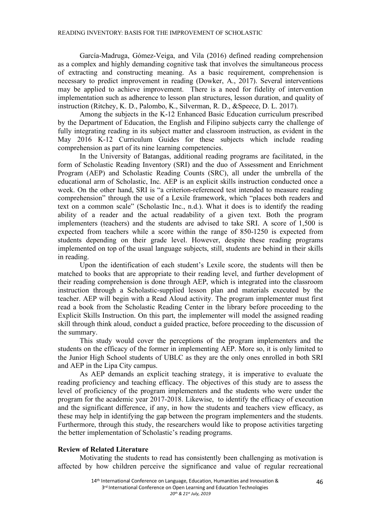García-Madruga, Gómez-Veiga, and Vila (2016) defined reading comprehension as a complex and highly demanding cognitive task that involves the simultaneous process of extracting and constructing meaning. As a basic requirement, comprehension is necessary to predict improvement in reading (Dowker, A., 2017). Several interventions may be applied to achieve improvement. There is a need for fidelity of intervention implementation such as adherence to lesson plan structures, lesson duration, and quality of instruction (Ritchey, K. D., Palombo, K., Silverman, R. D., &Speece, D. L. 2017).

Among the subjects in the K-12 Enhanced Basic Education curriculum prescribed by the Department of Education, the English and Filipino subjects carry the challenge of fully integrating reading in its subject matter and classroom instruction, as evident in the May 2016 K-12 Curriculum Guides for these subjects which include reading comprehension as part of its nine learning competencies.

In the University of Batangas, additional reading programs are facilitated, in the form of Scholastic Reading Inventory (SRI) and the duo of Assessment and Enrichment Program (AEP) and Scholastic Reading Counts (SRC), all under the umbrella of the educational arm of Scholastic, Inc. AEP is an explicit skills instruction conducted once a week. On the other hand, SRI is "a criterion-referenced test intended to measure reading comprehension" through the use of a Lexile framework, which "places both readers and text on a common scale" (Scholastic Inc., n.d.). What it does is to identify the reading ability of a reader and the actual readability of a given text. Both the program implementers (teachers) and the students are advised to take SRI. A score of 1,500 is expected from teachers while a score within the range of 850-1250 is expected from students depending on their grade level. However, despite these reading programs implemented on top of the usual language subjects, still, students are behind in their skills in reading.

Upon the identification of each student's Lexile score, the students will then be matched to books that are appropriate to their reading level, and further development of their reading comprehension is done through AEP, which is integrated into the classroom instruction through a Scholastic-supplied lesson plan and materials executed by the teacher. AEP will begin with a Read Aloud activity. The program implementer must first read a book from the Scholastic Reading Center in the library before proceeding to the Explicit Skills Instruction. On this part, the implementer will model the assigned reading skill through think aloud, conduct a guided practice, before proceeding to the discussion of the summary.

This study would cover the perceptions of the program implementers and the students on the efficacy of the former in implementing AEP. More so, it is only limited to the Junior High School students of UBLC as they are the only ones enrolled in both SRI and AEP in the Lipa City campus.

As AEP demands an explicit teaching strategy, it is imperative to evaluate the reading proficiency and teaching efficacy. The objectives of this study are to assess the level of proficiency of the program implementers and the students who were under the program for the academic year 2017-2018. Likewise, to identify the efficacy of execution and the significant difference, if any, in how the students and teachers view efficacy, as these may help in identifying the gap between the program implementers and the students. Furthermore, through this study, the researchers would like to propose activities targeting the better implementation of Scholastic's reading programs.

# **Review of Related Literature**

Motivating the students to read has consistently been challenging as motivation is affected by how children perceive the significance and value of regular recreational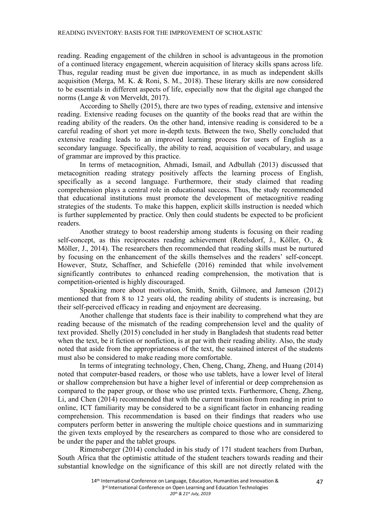reading. Reading engagement of the children in school is advantageous in the promotion of a continued literacy engagement, wherein acquisition of literacy skills spans across life. Thus, regular reading must be given due importance, in as much as independent skills acquisition (Merga, M. K. & Roni, S. M., 2018). These literary skills are now considered to be essentials in different aspects of life, especially now that the digital age changed the norms (Lange & von Merveldt, 2017).

According to Shelly (2015), there are two types of reading, extensive and intensive reading. Extensive reading focuses on the quantity of the books read that are within the reading ability of the readers. On the other hand, intensive reading is considered to be a careful reading of short yet more in-depth texts. Between the two, Shelly concluded that extensive reading leads to an improved learning process for users of English as a secondary language. Specifically, the ability to read, acquisition of vocabulary, and usage of grammar are improved by this practice.

In terms of metacognition, Ahmadi, Ismail, and Adbullah (2013) discussed that metacognition reading strategy positively affects the learning process of English, specifically as a second language. Furthermore, their study claimed that reading comprehension plays a central role in educational success. Thus, the study recommended that educational institutions must promote the development of metacognitive reading strategies of the students. To make this happen, explicit skills instruction is needed which is further supplemented by practice. Only then could students be expected to be proficient readers.

Another strategy to boost readership among students is focusing on their reading self-concept, as this reciprocates reading achievement (Retelsdorf, J., Köller, O., & Möller, J., 2014). The researchers then recommended that reading skills must be nurtured by focusing on the enhancement of the skills themselves and the readers' self-concept. However, Stutz, Schaffner, and Schiefelle (2016) reminded that while involvement significantly contributes to enhanced reading comprehension, the motivation that is competition-oriented is highly discouraged.

Speaking more about motivation, Smith, Smith, Gilmore, and Jameson (2012) mentioned that from 8 to 12 years old, the reading ability of students is increasing, but their self-perceived efficacy in reading and enjoyment are decreasing.

Another challenge that students face is their inability to comprehend what they are reading because of the mismatch of the reading comprehension level and the quality of text provided. Shelly (2015) concluded in her study in Bangladesh that students read better when the text, be it fiction or nonfiction, is at par with their reading ability. Also, the study noted that aside from the appropriateness of the text, the sustained interest of the students must also be considered to make reading more comfortable.

In terms of integrating technology, Chen, Cheng, Chang, Zheng, and Huang (2014) noted that computer-based readers, or those who use tablets, have a lower level of literal or shallow comprehension but have a higher level of inferential or deep comprehension as compared to the paper group, or those who use printed texts. Furthermore, Cheng, Zheng, Li, and Chen (2014) recommended that with the current transition from reading in print to online, ICT familiarity may be considered to be a significant factor in enhancing reading comprehension. This recommendation is based on their findings that readers who use computers perform better in answering the multiple choice questions and in summarizing the given texts employed by the researchers as compared to those who are considered to be under the paper and the tablet groups.

Rimensberger (2014) concluded in his study of 171 student teachers from Durban, South Africa that the optimistic attitude of the student teachers towards reading and their substantial knowledge on the significance of this skill are not directly related with the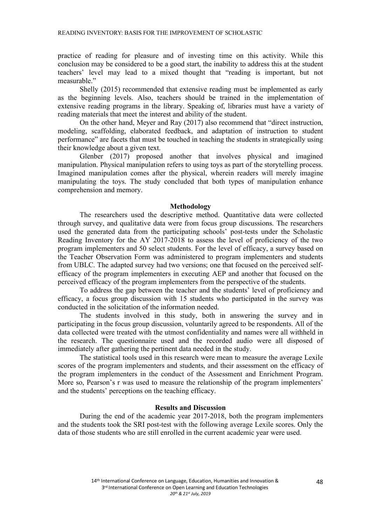practice of reading for pleasure and of investing time on this activity. While this conclusion may be considered to be a good start, the inability to address this at the student teachers' level may lead to a mixed thought that "reading is important, but not measurable."

Shelly (2015) recommended that extensive reading must be implemented as early as the beginning levels. Also, teachers should be trained in the implementation of extensive reading programs in the library. Speaking of, libraries must have a variety of reading materials that meet the interest and ability of the student.

On the other hand, Meyer and Ray (2017) also recommend that "direct instruction, modeling, scaffolding, elaborated feedback, and adaptation of instruction to student performance" are facets that must be touched in teaching the students in strategically using their knowledge about a given text.

Glenber (2017) proposed another that involves physical and imagined manipulation. Physical manipulation refers to using toys as part of the storytelling process. Imagined manipulation comes after the physical, wherein readers will merely imagine manipulating the toys. The study concluded that both types of manipulation enhance comprehension and memory.

#### **Methodology**

The researchers used the descriptive method. Quantitative data were collected through survey, and qualitative data were from focus group discussions. The researchers used the generated data from the participating schools' post-tests under the Scholastic Reading Inventory for the AY 2017-2018 to assess the level of proficiency of the two program implementers and 50 select students. For the level of efficacy, a survey based on the Teacher Observation Form was administered to program implementers and students from UBLC. The adapted survey had two versions; one that focused on the perceived selfefficacy of the program implementers in executing AEP and another that focused on the perceived efficacy of the program implementers from the perspective of the students.

To address the gap between the teacher and the students' level of proficiency and efficacy, a focus group discussion with 15 students who participated in the survey was conducted in the solicitation of the information needed.

The students involved in this study, both in answering the survey and in participating in the focus group discussion, voluntarily agreed to be respondents. All of the data collected were treated with the utmost confidentiality and names were all withheld in the research. The questionnaire used and the recorded audio were all disposed of immediately after gathering the pertinent data needed in the study.

The statistical tools used in this research were mean to measure the average Lexile scores of the program implementers and students, and their assessment on the efficacy of the program implementers in the conduct of the Assessment and Enrichment Program. More so, Pearson's r was used to measure the relationship of the program implementers' and the students' perceptions on the teaching efficacy.

# **Results and Discussion**

During the end of the academic year 2017-2018, both the program implementers and the students took the SRI post-test with the following average Lexile scores. Only the data of those students who are still enrolled in the current academic year were used.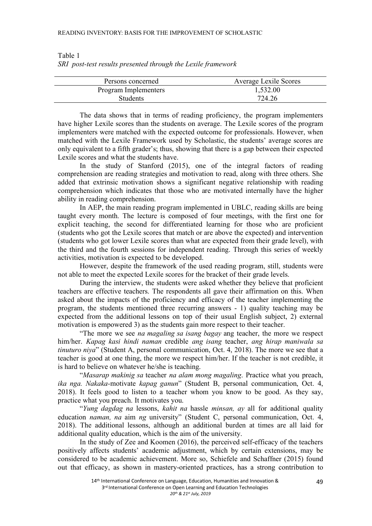| Persons concerned    | <b>Average Lexile Scores</b> |
|----------------------|------------------------------|
| Program Implementers | 1,532.00                     |
| <b>Students</b>      | 724.26                       |

Table 1 *SRI post-test results presented through the Lexile framework*

The data shows that in terms of reading proficiency, the program implementers have higher Lexile scores than the students on average. The Lexile scores of the program implementers were matched with the expected outcome for professionals. However, when matched with the Lexile Framework used by Scholastic, the students' average scores are only equivalent to a fifth grader's; thus, showing that there is a gap between their expected Lexile scores and what the students have.

In the study of Stanford (2015), one of the integral factors of reading comprehension are reading strategies and motivation to read, along with three others. She added that extrinsic motivation shows a significant negative relationship with reading comprehension which indicates that those who are motivated internally have the higher ability in reading comprehension.

In AEP, the main reading program implemented in UBLC, reading skills are being taught every month. The lecture is composed of four meetings, with the first one for explicit teaching, the second for differentiated learning for those who are proficient (students who got the Lexile scores that match or are above the expected) and intervention (students who got lower Lexile scores than what are expected from their grade level), with the third and the fourth sessions for independent reading. Through this series of weekly activities, motivation is expected to be developed.

However, despite the framework of the used reading program, still, students were not able to meet the expected Lexile scores for the bracket of their grade levels.

During the interview, the students were asked whether they believe that proficient teachers are effective teachers. The respondents all gave their affirmation on this. When asked about the impacts of the proficiency and efficacy of the teacher implementing the program, the students mentioned three recurring answers - 1) quality teaching may be expected from the additional lessons on top of their usual English subject, 2) external motivation is empowered 3) as the students gain more respect to their teacher.

"The more we see *na magaling sa isang bagay* ang teacher, the more we respect him/her. *Kapag kasi hindi naman* credible *ang isang* teacher, *ang hirap maniwala sa tinuturo niya*" (Student A, personal communication, Oct. 4, 2018). The more we see that a teacher is good at one thing, the more we respect him/her. If the teacher is not credible, it is hard to believe on whatever he/she is teaching.

"*Masarap makinig sa* teacher *na alam mong magaling*. Practice what you preach, *ika nga. Nakaka-*motivate *kapag ganun*" (Student B, personal communication, Oct. 4, 2018). It feels good to listen to a teacher whom you know to be good. As they say, practice what you preach. It motivates you.

"*Yung dagdag na* lessons, *kahit na* hassle *minsan, ay* all for additional quality education *naman, na* aim *ng* university" (Student C, personal communication, Oct. 4, 2018). The additional lessons, although an additional burden at times are all laid for additional quality education, which is the aim of the university.

In the study of Zee and Koomen (2016), the perceived self-efficacy of the teachers positively affects students' academic adjustment, which by certain extensions, may be considered to be academic achievement. More so, Schiefele and Schaffner (2015) found out that efficacy, as shown in mastery-oriented practices, has a strong contribution to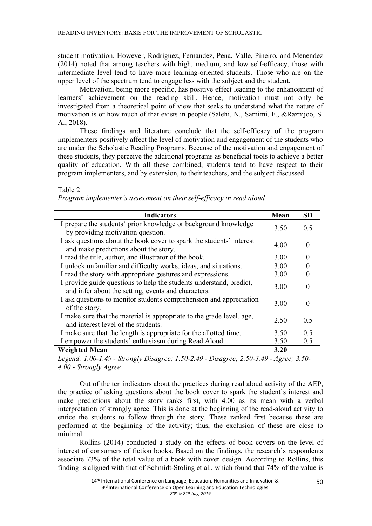student motivation. However, Rodriguez, Fernandez, Pena, Valle, Pineiro, and Menendez (2014) noted that among teachers with high, medium, and low self-efficacy, those with intermediate level tend to have more learning-oriented students. Those who are on the upper level of the spectrum tend to engage less with the subject and the student.

Motivation, being more specific, has positive effect leading to the enhancement of learners' achievement on the reading skill. Hence, motivation must not only be investigated from a theoretical point of view that seeks to understand what the nature of motivation is or how much of that exists in people (Salehi, N., Samimi, F., &Razmjoo, S. A., 2018).

These findings and literature conclude that the self-efficacy of the program implementers positively affect the level of motivation and engagement of the students who are under the Scholastic Reading Programs. Because of the motivation and engagement of these students, they perceive the additional programs as beneficial tools to achieve a better quality of education. With all these combined, students tend to have respect to their program implementers, and by extension, to their teachers, and the subject discussed.

Table 2

*Program implementer's assessment on their self-efficacy in read aloud*

| <b>Indicators</b>                                                                                                          | Mean | <b>SD</b>    |
|----------------------------------------------------------------------------------------------------------------------------|------|--------------|
| I prepare the students' prior knowledge or background knowledge<br>by providing motivation question.                       | 3.50 | 0.5          |
| I ask questions about the book cover to spark the students' interest<br>and make predictions about the story.              | 4.00 | $\Omega$     |
| I read the title, author, and illustrator of the book.                                                                     | 3.00 | $\mathbf{0}$ |
| I unlock unfamiliar and difficulty works, ideas, and situations.                                                           | 3.00 |              |
| I read the story with appropriate gestures and expressions.                                                                | 3.00 |              |
| I provide guide questions to help the students understand, predict,<br>and infer about the setting, events and characters. | 3.00 | 0            |
| I ask questions to monitor students comprehension and appreciation<br>of the story.                                        | 3.00 | $\Omega$     |
| I make sure that the material is appropriate to the grade level, age,<br>and interest level of the students.               | 2.50 | 0.5          |
| I make sure that the length is appropriate for the allotted time.                                                          | 3.50 | 0.5          |
| I empower the students' enthusiasm during Read Aloud.                                                                      | 3.50 | 0.5          |
| <b>Weighted Mean</b>                                                                                                       | 3.20 |              |

*Legend: 1.00-1.49 - Strongly Disagree; 1.50-2.49 - Disagree; 2.50-3.49 - Agree; 3.50- 4.00 - Strongly Agree*

Out of the ten indicators about the practices during read aloud activity of the AEP, the practice of asking questions about the book cover to spark the student's interest and make predictions about the story ranks first, with 4.00 as its mean with a verbal interpretation of strongly agree. This is done at the beginning of the read-aloud activity to entice the students to follow through the story. These ranked first because these are performed at the beginning of the activity; thus, the exclusion of these are close to minimal.

Rollins (2014) conducted a study on the effects of book covers on the level of interest of consumers of fiction books. Based on the findings, the research's respondents associate 73% of the total value of a book with cover design. According to Rollins, this finding is aligned with that of Schmidt-Stoling et al., which found that 74% of the value is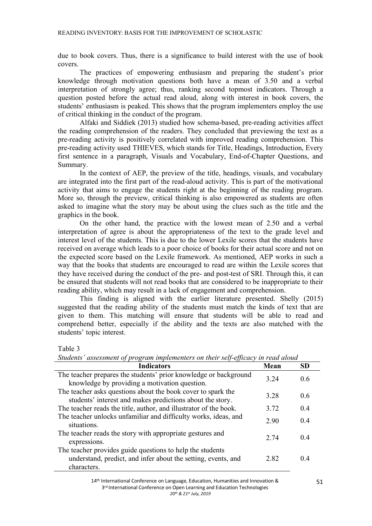due to book covers. Thus, there is a significance to build interest with the use of book covers.

The practices of empowering enthusiasm and preparing the student's prior knowledge through motivation questions both have a mean of 3.50 and a verbal interpretation of strongly agree; thus, ranking second topmost indicators. Through a question posted before the actual read aloud, along with interest in book covers, the students' enthusiasm is peaked. This shows that the program implementers employ the use of critical thinking in the conduct of the program.

Alfaki and Siddiek (2013) studied how schema-based, pre-reading activities affect the reading comprehension of the readers. They concluded that previewing the text as a pre-reading activity is positively correlated with improved reading comprehension. This pre-reading activity used THIEVES, which stands for Title, Headings, Introduction, Every first sentence in a paragraph, Visuals and Vocabulary, End-of-Chapter Questions, and Summary.

In the context of AEP, the preview of the title, headings, visuals, and vocabulary are integrated into the first part of the read-aloud activity. This is part of the motivational activity that aims to engage the students right at the beginning of the reading program. More so, through the preview, critical thinking is also empowered as students are often asked to imagine what the story may be about using the clues such as the title and the graphics in the book.

On the other hand, the practice with the lowest mean of 2.50 and a verbal interpretation of agree is about the appropriateness of the text to the grade level and interest level of the students. This is due to the lower Lexile scores that the students have received on average which leads to a poor choice of books for their actual score and not on the expected score based on the Lexile framework. As mentioned, AEP works in such a way that the books that students are encouraged to read are within the Lexile scores that they have received during the conduct of the pre- and post-test of SRI. Through this, it can be ensured that students will not read books that are considered to be inappropriate to their reading ability, which may result in a lack of engagement and comprehension.

This finding is aligned with the earlier literature presented. Shelly (2015) suggested that the reading ability of the students must match the kinds of text that are given to them. This matching will ensure that students will be able to read and comprehend better, especially if the ability and the texts are also matched with the students' topic interest.

Table 3

| ыйценіз "азызынені ор ргодгані інірістеність он інсіг зең еррейсу ін гейй атойи                                                           |       |           |  |  |
|-------------------------------------------------------------------------------------------------------------------------------------------|-------|-----------|--|--|
| <b>Indicators</b>                                                                                                                         | Mean  | <b>SD</b> |  |  |
| The teacher prepares the students' prior knowledge or background                                                                          | 3 24  | 0.6       |  |  |
| knowledge by providing a motivation question.                                                                                             |       |           |  |  |
| The teacher asks questions about the book cover to spark the<br>students' interest and makes predictions about the story.                 | 3 2 8 | 0.6       |  |  |
| The teacher reads the title, author, and illustrator of the book.                                                                         | 3.72  | 0.4       |  |  |
| The teacher unlocks unfamiliar and difficulty works, ideas, and<br>situations.                                                            | 2.90  | 0.4       |  |  |
| The teacher reads the story with appropriate gestures and<br>expressions.                                                                 | 2 74  | 04        |  |  |
| The teacher provides guide questions to help the students<br>understand, predict, and infer about the setting, events, and<br>characters. | 282   | 04        |  |  |

*Students' assessment of program implementers on their self-efficacy in read aloud*

<sup>14&</sup>lt;sup>th</sup> International Conference on Language, Education, Humanities and Innovation & 3<sup>rd</sup> International Conference on Open Learning and Education Technologies *20th & 21st July, 2019*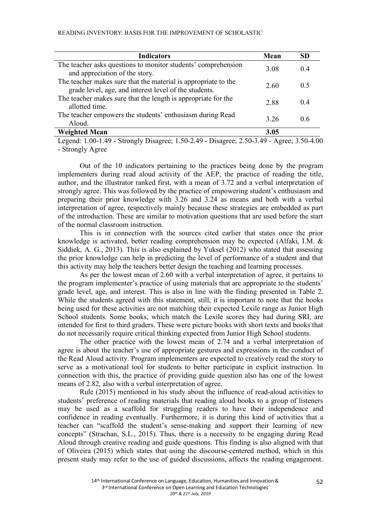| <b>Indicators</b>                                                                                                       | Mean | SD  |
|-------------------------------------------------------------------------------------------------------------------------|------|-----|
| The teacher asks questions to monitor students' comprehension<br>and appreciation of the story.                         | 3.08 | 04  |
| The teacher makes sure that the material is appropriate to the<br>grade level, age, and interest level of the students. | 2.60 | 0.5 |
| The teacher makes sure that the length is appropriate for the<br>allotted time.                                         | 2.88 | 04  |
| The teacher empowers the students' enthusiasm during Read<br>Aloud.                                                     | 3 26 | 06  |
| <b>Weighted Mean</b>                                                                                                    | 3.05 |     |

Legend: 1.00-1.49 - Strongly Disagree; 1.50-2.49 - Disagree; 2.50-3.49 - Agree; 3.50-4.00 - Strongly Agree

Out of the 10 indicators pertaining to the practices being done by the program implementers during read aloud activity of the AEP, the practice of reading the title, author, and the illustrator ranked first, with a mean of 3.72 and a verbal interpretation of strongly agree. This was followed by the practice of empowering student's enthusiasm and preparing their prior knowledge with 3.26 and 3.24 as means and both with a verbal interpretation of agree, respectively mainly because these strategies are embedded as part of the introduction. These are similar to motivation questions that are used before the start of the normal classroom instruction.

This is in connection with the sources cited earlier that states once the prior knowledge is activated, better reading comprehension may be expected (Alfaki, I.M. & Siddiek, A. G., 2013). This is also explained by Yuksel (2012) who stated that assessing the prior knowledge can help in predicting the level of performance of a student and that this activity may help the teachers better design the teaching and learning processes.

As per the lowest mean of 2.60 with a verbal interpretation of agree, it pertains to the program implementer's practice of using materials that are appropriate to the students' grade level, age, and interest. This is also in line with the finding presented in Table 2. While the students agreed with this statement, still, it is important to note that the books being used for these activities are not matching their expected Lexile range as Junior High School students. Some books, which match the Lexile scores they had during SRI, are intended for first to third graders. These were picture books with short texts and books that do not necessarily require critical thinking expected from Junior High School students.

The other practice with the lowest mean of 2.74 and a verbal interpretation of agree is about the teacher's use of appropriate gestures and expressions in the conduct of the Read Aloud activity. Program implementers are expected to creatively read the story to serve as a motivational tool for students to better participate in explicit instruction. In connection with this, the practice of providing guide question also has one of the lowest means of 2.82, also with a verbal interpretation of agree.

Rule (2015) mentioned in his study about the influence of read-aloud activities to students' preference of reading materials that reading aloud books to a group of listeners may be used as a scaffold for struggling readers to have their independence and confidence in reading eventually. Furthermore, it is during this kind of activities that a teacher can "scaffold the student's sense-making and support their learning of new concepts" (Strachan, S.L., 2015). Thus, there is a necessity to be engaging during Read Aloud through creative reading and guide questions. This finding is also aligned with that of Oliveira (2015) which states that using the discourse-centered method, which in this present study may refer to the use of guided discussions, affects the reading engagement.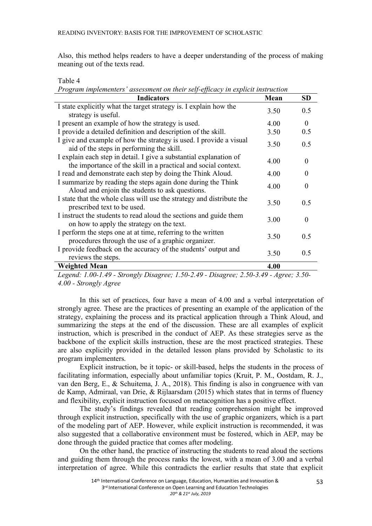Also, this method helps readers to have a deeper understanding of the process of making meaning out of the texts read.

# Table 4

| Program implementers' assessment on their self-efficacy in explicit instruction |  |  |  |
|---------------------------------------------------------------------------------|--|--|--|
|                                                                                 |  |  |  |

| <b>Indicators</b>                                                                                                                    | Mean | <b>SD</b> |
|--------------------------------------------------------------------------------------------------------------------------------------|------|-----------|
| I state explicitly what the target strategy is. I explain how the                                                                    | 3.50 | 0.5       |
| strategy is useful.                                                                                                                  |      |           |
| I present an example of how the strategy is used.                                                                                    | 4.00 | $\theta$  |
| I provide a detailed definition and description of the skill.                                                                        | 3.50 | 0.5       |
| I give and example of how the strategy is used. I provide a visual<br>aid of the steps in performing the skill.                      | 3.50 | 0.5       |
| I explain each step in detail. I give a substantial explanation of<br>the importance of the skill in a practical and social context. | 4.00 | $\theta$  |
| I read and demonstrate each step by doing the Think Aloud.                                                                           | 4.00 | $\theta$  |
| I summarize by reading the steps again done during the Think<br>Aloud and enjoin the students to ask questions.                      | 4.00 | $\Omega$  |
| I state that the whole class will use the strategy and distribute the<br>prescribed text to be used.                                 | 3.50 | 0.5       |
| I instruct the students to read aloud the sections and guide them<br>on how to apply the strategy on the text.                       | 3.00 | $\theta$  |
| I perform the steps one at at time, referring to the written<br>procedures through the use of a graphic organizer.                   | 3.50 | 0.5       |
| I provide feedback on the accuracy of the students' output and<br>reviews the steps.                                                 | 3.50 | 0.5       |
| <b>Weighted Mean</b>                                                                                                                 | 4.00 |           |

*Legend: 1.00-1.49 - Strongly Disagree; 1.50-2.49 - Disagree; 2.50-3.49 - Agree; 3.50- 4.00 - Strongly Agree*

In this set of practices, four have a mean of 4.00 and a verbal interpretation of strongly agree. These are the practices of presenting an example of the application of the strategy, explaining the process and its practical application through a Think Aloud, and summarizing the steps at the end of the discussion. These are all examples of explicit instruction, which is prescribed in the conduct of AEP. As these strategies serve as the backbone of the explicit skills instruction, these are the most practiced strategies. These are also explicitly provided in the detailed lesson plans provided by Scholastic to its program implementers.

Explicit instruction, be it topic- or skill-based, helps the students in the process of facilitating information, especially about unfamiliar topics (Kruit, P. M., Oostdam, R. J., van den Berg, E., & Schuitema, J. A., 2018). This finding is also in congruence with van de Kamp, Admiraal, van Drie, & Rijlaarsdam (2015) which states that in terms of fluency and flexibility, explicit instruction focused on metacognition has a positive effect.

The study's findings revealed that reading comprehension might be improved through explicit instruction, specifically with the use of graphic organizers, which is a part of the modeling part of AEP. However, while explicit instruction is recommended, it was also suggested that a collaborative environment must be fostered, which in AEP, may be done through the guided practice that comes after modeling.

On the other hand, the practice of instructing the students to read aloud the sections and guiding them through the process ranks the lowest, with a mean of 3.00 and a verbal interpretation of agree. While this contradicts the earlier results that state that explicit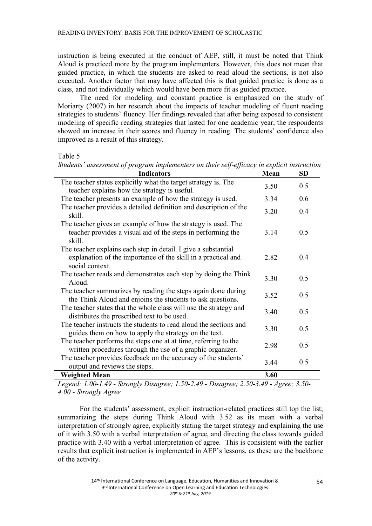instruction is being executed in the conduct of AEP, still, it must be noted that Think Aloud is practiced more by the program implementers. However, this does not mean that guided practice, in which the students are asked to read aloud the sections, is not also executed. Another factor that may have affected this is that guided practice is done as a class, and not individually which would have been more fit as guided practice.

The need for modeling and constant practice is emphasized on the study of Moriarty (2007) in her research about the impacts of teacher modeling of fluent reading strategies to students' fluency. Her findings revealed that after being exposed to consistent modeling of specific reading strategies that lasted for one academic year, the respondents showed an increase in their scores and fluency in reading. The students' confidence also improved as a result of this strategy.

Table 5

| Students' assessment of program implementers on their self-efficacy in explicit instruction                                                        |      |           |  |  |
|----------------------------------------------------------------------------------------------------------------------------------------------------|------|-----------|--|--|
| <b>Indicators</b>                                                                                                                                  | Mean | <b>SD</b> |  |  |
| The teacher states explicitly what the target strategy is. The<br>teacher explains how the strategy is useful.                                     | 3.50 | 0.5       |  |  |
| The teacher presents an example of how the strategy is used.                                                                                       | 3.34 | 0.6       |  |  |
| The teacher provides a detailed definition and description of the<br>skill.                                                                        | 3.20 | 0.4       |  |  |
| The teacher gives an example of how the strategy is used. The<br>teacher provides a visual aid of the steps in performing the<br>skill.            | 3.14 | 0.5       |  |  |
| The teacher explains each step in detail. I give a substantial<br>explanation of the importance of the skill in a practical and<br>social context. | 2.82 | 0.4       |  |  |
| The teacher reads and demonstrates each step by doing the Think<br>Aloud.                                                                          | 3.30 | 0.5       |  |  |
| The teacher summarizes by reading the steps again done during<br>the Think Aloud and enjoins the students to ask questions.                        | 3.52 | 0.5       |  |  |
| The teacher states that the whole class will use the strategy and<br>distributes the prescribed text to be used.                                   | 3.40 | 0.5       |  |  |
| The teacher instructs the students to read aloud the sections and<br>guides them on how to apply the strategy on the text.                         | 3.30 | 0.5       |  |  |
| The teacher performs the steps one at at time, referring to the<br>written procedures through the use of a graphic organizer.                      | 2.98 | 0.5       |  |  |
| The teacher provides feedback on the accuracy of the students'<br>output and reviews the steps.                                                    | 3.44 | 0.5       |  |  |
| <b>Weighted Mean</b>                                                                                                                               | 3.60 |           |  |  |

*Legend: 1.00-1.49 - Strongly Disagree; 1.50-2.49 - Disagree; 2.50-3.49 - Agree; 3.50- 4.00 - Strongly Agree*

For the students' assessment, explicit instruction-related practices still top the list; summarizing the steps during Think Aloud with 3.52 as its mean with a verbal interpretation of strongly agree, explicitly stating the target strategy and explaining the use of it with 3.50 with a verbal interpretation of agree, and directing the class towards guided practice with 3.40 with a verbal interpretation of agree. This is consistent with the earlier results that explicit instruction is implemented in AEP's lessons, as these are the backbone of the activity.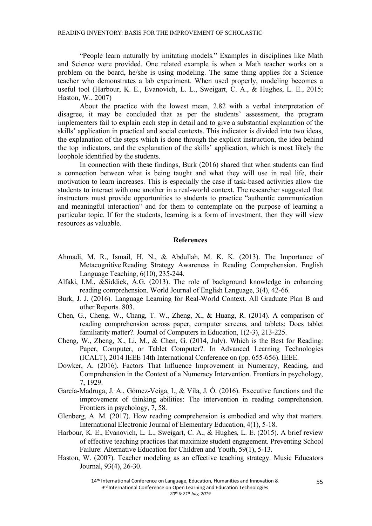"People learn naturally by imitating models." Examples in disciplines like Math and Science were provided. One related example is when a Math teacher works on a problem on the board, he/she is using modeling. The same thing applies for a Science teacher who demonstrates a lab experiment. When used properly, modeling becomes a useful tool (Harbour, K. E., Evanovich, L. L., Sweigart, C. A., & Hughes, L. E., 2015; Haston, W., 2007)

About the practice with the lowest mean, 2.82 with a verbal interpretation of disagree, it may be concluded that as per the students' assessment, the program implementers fail to explain each step in detail and to give a substantial explanation of the skills' application in practical and social contexts. This indicator is divided into two ideas, the explanation of the steps which is done through the explicit instruction, the idea behind the top indicators, and the explanation of the skills' application, which is most likely the loophole identified by the students.

In connection with these findings, Burk (2016) shared that when students can find a connection between what is being taught and what they will use in real life, their motivation to learn increases. This is especially the case if task-based activities allow the students to interact with one another in a real-world context. The researcher suggested that instructors must provide opportunities to students to practice "authentic communication and meaningful interaction" and for them to contemplate on the purpose of learning a particular topic. If for the students, learning is a form of investment, then they will view resources as valuable.

### **References**

- Ahmadi, M. R., Ismail, H. N., & Abdullah, M. K. K. (2013). The Importance of Metacognitive Reading Strategy Awareness in Reading Comprehension. English Language Teaching, 6(10), 235-244.
- Alfaki, I.M., &Siddiek, A.G. (2013). The role of background knowledge in enhancing reading comprehension. World Journal of English Language, 3(4), 42-66.
- Burk, J. J. (2016). Language Learning for Real-World Context. All Graduate Plan B and other Reports. 803.
- Chen, G., Cheng, W., Chang, T. W., Zheng, X., & Huang, R. (2014). A comparison of reading comprehension across paper, computer screens, and tablets: Does tablet familiarity matter?. Journal of Computers in Education, 1(2-3), 213-225.
- Cheng, W., Zheng, X., Li, M., & Chen, G. (2014, July). Which is the Best for Reading: Paper, Computer, or Tablet Computer?. In Advanced Learning Technologies (ICALT), 2014 IEEE 14th International Conference on (pp. 655-656). IEEE.
- Dowker, A. (2016). Factors That Influence Improvement in Numeracy, Reading, and Comprehension in the Context of a Numeracy Intervention. Frontiers in psychology, 7, 1929.
- García-Madruga, J. A., Gómez-Veiga, I., & Vila, J. Ó. (2016). Executive functions and the improvement of thinking abilities: The intervention in reading comprehension. Frontiers in psychology, 7, 58.
- Glenberg, A. M. (2017). How reading comprehension is embodied and why that matters. International Electronic Journal of Elementary Education, 4(1), 5-18.
- Harbour, K. E., Evanovich, L. L., Sweigart, C. A., & Hughes, L. E. (2015). A brief review of effective teaching practices that maximize student engagement. Preventing School Failure: Alternative Education for Children and Youth, 59(1), 5-13.
- Haston, W. (2007). Teacher modeling as an effective teaching strategy. Music Educators Journal, 93(4), 26-30.

14<sup>th</sup> International Conference on Language, Education, Humanities and Innovation & 3<sup>rd</sup> International Conference on Open Learning and Education Technologies *20th & 21st July, 2019*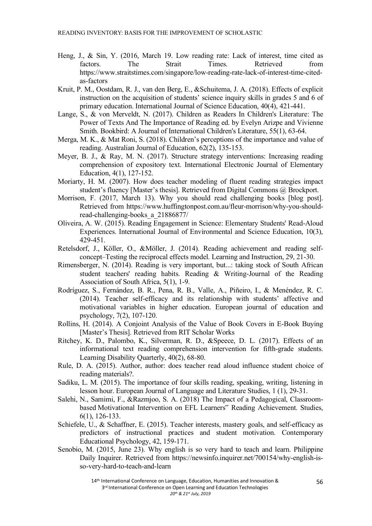- Heng, J., & Sin, Y. (2016, March 19. Low reading rate: Lack of interest, time cited as factors. The Strait Times. Retrieved from https://www.straitstimes.com/singapore/low-reading-rate-lack-of-interest-time-citedas-factors
- Kruit, P. M., Oostdam, R. J., van den Berg, E., &Schuitema, J. A. (2018). Effects of explicit instruction on the acquisition of students' science inquiry skills in grades 5 and 6 of primary education. International Journal of Science Education, 40(4), 421-441.
- Lange, S., & von Merveldt, N. (2017). Children as Readers In Children's Literature: The Power of Texts And The Importance of Reading ed. by Evelyn Arizpe and Vivienne Smith. Bookbird: A Journal of International Children's Literature, 55(1), 63-64.
- Merga, M. K., & Mat Roni, S. (2018). Children's perceptions of the importance and value of reading. Australian Journal of Education, 62(2), 135-153.
- Meyer, B. J., & Ray, M. N. (2017). Structure strategy interventions: Increasing reading comprehension of expository text. International Electronic Journal of Elementary Education, 4(1), 127-152.
- Moriarty, H. M. (2007). How does teacher modeling of fluent reading strategies impact student's fluency [Master's thesis]. Retrieved from Digital Commons @ Brockport.
- Morrison, F. (2017, March 13). Why you should read challenging books [blog post]. Retrieved from https://www.huffingtonpost.com.au/fleur-morrison/why-you-shouldread-challenging-books\_a\_21886877/
- Oliveira, A. W. (2015). Reading Engagement in Science: Elementary Students' Read-Aloud Experiences. International Journal of Environmental and Science Education, 10(3), 429-451.
- Retelsdorf, J., Köller, O., &Möller, J. (2014). Reading achievement and reading selfconcept–Testing the reciprocal effects model. Learning and Instruction, 29, 21-30.
- Rimensberger, N. (2014). Reading is very important, but...: taking stock of South African student teachers' reading habits. Reading & Writing-Journal of the Reading Association of South Africa, 5(1), 1-9.
- Rodríguez, S., Fernández, B. R., Pena, R. B., Valle, A., Piñeiro, I., & Menéndez, R. C. (2014). Teacher self-efficacy and its relationship with students' affective and motivational variables in higher education. European journal of education and psychology, 7(2), 107-120.
- Rollins, H. (2014). A Conjoint Analysis of the Value of Book Covers in E-Book Buying [Master's Thesis]. Retrieved from RIT Scholar Works
- Ritchey, K. D., Palombo, K., Silverman, R. D., &Speece, D. L. (2017). Effects of an informational text reading comprehension intervention for fifth-grade students. Learning Disability Quarterly, 40(2), 68-80.
- Rule, D. A. (2015). Author, author: does teacher read aloud influence student choice of reading materials?.
- Sadiku, L. M. (2015). The importance of four skills reading, speaking, writing, listening in lesson hour. European Journal of Language and Literature Studies, 1 (1), 29-31.
- Salehi, N., Samimi, F., &Razmjoo, S. A. (2018) The Impact of a Pedagogical, Classroombased Motivational Intervention on EFL Learners" Reading Achievement. Studies, 6(1), 126-133.
- Schiefele, U., & Schaffner, E. (2015). Teacher interests, mastery goals, and self-efficacy as predictors of instructional practices and student motivation. Contemporary Educational Psychology, 42, 159-171.
- Senobio, M. (2015, June 23). Why english is so very hard to teach and learn. Philippine Daily Inquirer. Retrieved from https://newsinfo.inquirer.net/700154/why-english-isso-very-hard-to-teach-and-learn

14<sup>th</sup> International Conference on Language, Education, Humanities and Innovation & 3<sup>rd</sup> International Conference on Open Learning and Education Technologies *20th & 21st July, 2019*